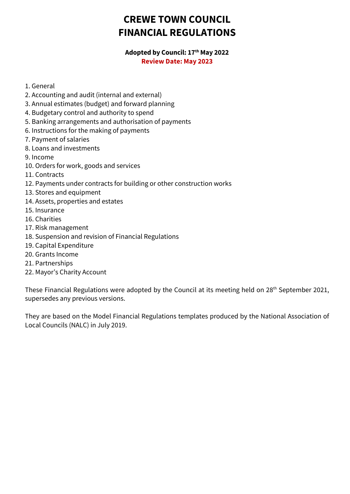# **CREWE TOWN COUNCIL FINANCIAL REGULATIONS**

#### **Adopted by Council: 17th May 2022 Review Date: May 2023**

- 1. General
- 2. Accounting and audit (internal and external)
- 3. Annual estimates (budget) and forward planning
- 4. Budgetary control and authority to spend
- 5. Banking arrangements and authorisation of payments
- 6. Instructions for the making of payments
- 7. Payment of salaries
- 8. Loans and investments
- 9. Income
- 10. Orders for work, goods and services
- 11. Contracts
- 12. Payments under contracts for building or other construction works
- 13. Stores and equipment
- 14. Assets, properties and estates
- 15. Insurance
- 16. Charities
- 17. Risk management
- 18. Suspension and revision of Financial Regulations
- 19. Capital Expenditure
- 20. Grants Income
- 21. Partnerships
- 22. Mayor's Charity Account

These Financial Regulations were adopted by the Council at its meeting held on 28<sup>th</sup> September 2021, supersedes any previous versions.

They are based on the Model Financial Regulations templates produced by the National Association of Local Councils (NALC) in July 2019.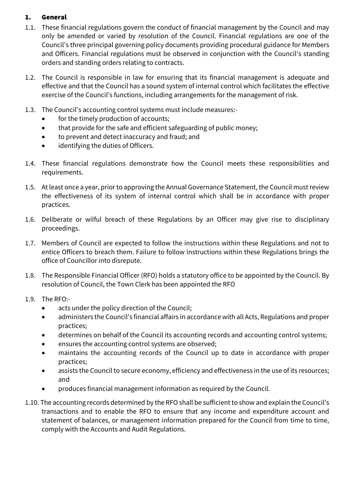# 1. General

- 1.1. These financial regulations govern the conduct of financial management by the Council and may only be amended or varied by resolution of the Council. Financial regulations are one of the Council's three principal governing policy documents providing procedural guidance for Members and Officers. Financial regulations must be observed in conjunction with the Council's standing orders and standing orders relating to contracts.
- 1.2. The Council is responsible in law for ensuring that its financial management is adequate and effective and that the Council has a sound system of internal control which facilitates the effective exercise of the Council's functions, including arrangements for the management of risk.
- 1.3. The Council's accounting control systems must include measures:
	- for the timely production of accounts;
	- that provide for the safe and efficient safeguarding of public money;
	- to prevent and detect inaccuracy and fraud; and
	- identifying the duties of Officers.
- 1.4. These financial regulations demonstrate how the Council meets these responsibilities and requirements.
- 1.5. At least once a year, prior to approving the Annual Governance Statement, the Council must review the effectiveness of its system of internal control which shall be in accordance with proper practices.
- 1.6. Deliberate or wilful breach of these Regulations by an Officer may give rise to disciplinary proceedings.
- 1.7. Members of Council are expected to follow the instructions within these Regulations and not to entice Officers to breach them. Failure to follow instructions within these Regulations brings the office of Councillor into disrepute.
- 1.8. The Responsible Financial Officer (RFO) holds a statutory office to be appointed by the Council. By resolution of Council, the Town Clerk has been appointed the RFO
- 1.9. The RFO:-
	- acts under the policy direction of the Council;
	- administers the Council's financial affairs in accordance with all Acts, Regulations and proper practices;
	- determines on behalf of the Council its accounting records and accounting control systems;
	- ensures the accounting control systems are observed;
	- maintains the accounting records of the Council up to date in accordance with proper practices;
	- assists the Council to secure economy, efficiency and effectiveness in the use of its resources; and
	- produces financial management information as required by the Council.
- 1.10. The accounting records determined by the RFO shall be sufficient to show and explain the Council's transactions and to enable the RFO to ensure that any income and expenditure account and statement of balances, or management information prepared for the Council from time to time, comply with the Accounts and Audit Regulations.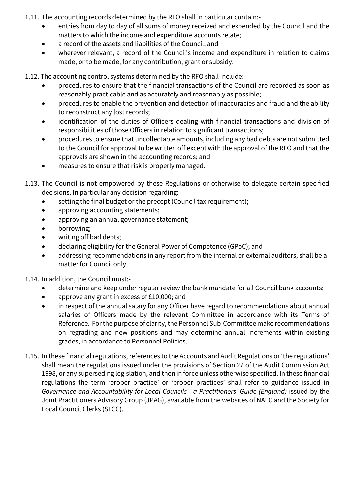- 1.11. The accounting records determined by the RFO shall in particular contain:-
	- entries from day to day of all sums of money received and expended by the Council and the matters to which the income and expenditure accounts relate;
	- a record of the assets and liabilities of the Council; and
	- wherever relevant, a record of the Council's income and expenditure in relation to claims made, or to be made, for any contribution, grant or subsidy.

1.12. The accounting control systems determined by the RFO shall include:-

- procedures to ensure that the financial transactions of the Council are recorded as soon as reasonably practicable and as accurately and reasonably as possible;
- procedures to enable the prevention and detection of inaccuracies and fraud and the ability to reconstruct any lost records;
- identification of the duties of Officers dealing with financial transactions and division of responsibilities of those Officers in relation to significant transactions;
- procedures to ensure that uncollectable amounts, including any bad debts are not submitted to the Council for approval to be written off except with the approval of the RFO and that the approvals are shown in the accounting records; and
- measures to ensure that risk is properly managed.
- 1.13. The Council is not empowered by these Regulations or otherwise to delegate certain specified decisions. In particular any decision regarding:-
	- setting the final budget or the precept (Council tax requirement);
	- approving accounting statements;
	- approving an annual governance statement;
	- borrowing;
	- writing off bad debts;
	- declaring eligibility for the General Power of Competence (GPoC); and
	- addressing recommendations in any report from the internal or external auditors, shall be a matter for Council only.

1.14. In addition, the Council must:-

- determine and keep under regular review the bank mandate for all Council bank accounts;
- approve any grant in excess of £10,000; and
- in respect of the annual salary for any Officer have regard to recommendations about annual salaries of Officers made by the relevant Committee in accordance with its Terms of Reference. For the purpose of clarity, the Personnel Sub-Committee make recommendations on regrading and new positions and may determine annual increments within existing grades, in accordance to Personnel Policies.
- 1.15. In these financial regulations, references to the Accounts and Audit Regulations or 'the regulations' shall mean the regulations issued under the provisions of Section 27 of the Audit Commission Act 1998, or any superseding legislation, and then in force unless otherwise specified. In these financial regulations the term 'proper practice' or 'proper practices' shall refer to guidance issued in *Governance and Accountability for Local Councils - a Practitioners' Guide (England)* issued by the Joint Practitioners Advisory Group (JPAG), available from the websites of NALC and the Society for Local Council Clerks (SLCC).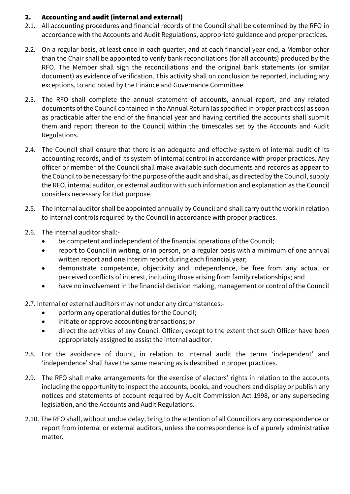## 2. Accounting and audit (internal and external)

- 2.1. All accounting procedures and financial records of the Council shall be determined by the RFO in accordance with the Accounts and Audit Regulations, appropriate guidance and proper practices.
- 2.2. On a regular basis, at least once in each quarter, and at each financial year end, a Member other than the Chair shall be appointed to verify bank reconciliations (for all accounts) produced by the RFO. The Member shall sign the reconciliations and the original bank statements (or similar document) as evidence of verification. This activity shall on conclusion be reported, including any exceptions, to and noted by the Finance and Governance Committee.
- 2.3. The RFO shall complete the annual statement of accounts, annual report, and any related documents of the Council contained in the Annual Return (as specified in proper practices) as soon as practicable after the end of the financial year and having certified the accounts shall submit them and report thereon to the Council within the timescales set by the Accounts and Audit Regulations.
- 2.4. The Council shall ensure that there is an adequate and effective system of internal audit of its accounting records, and of its system of internal control in accordance with proper practices. Any officer or member of the Council shall make available such documents and records as appear to the Council to be necessary for the purpose of the audit and shall, as directed by the Council, supply the RFO, internal auditor, or external auditor with such information and explanation as the Council considers necessary for that purpose.
- 2.5. The internal auditor shall be appointed annually by Council and shall carry out the work in relation to internal controls required by the Council in accordance with proper practices.
- 2.6. The internal auditor shall:-
	- be competent and independent of the financial operations of the Council;
	- report to Council in writing, or in person, on a regular basis with a minimum of one annual written report and one interim report during each financial year;
	- demonstrate competence, objectivity and independence, be free from any actual or perceived conflicts of interest, including those arising from family relationships; and
	- have no involvement in the financial decision making, management or control of the Council

2.7. Internal or external auditors may not under any circumstances:-

- perform any operational duties for the Council;
- initiate or approve accounting transactions; or
- direct the activities of any Council Officer, except to the extent that such Officer have been appropriately assigned to assist the internal auditor.
- 2.8. For the avoidance of doubt, in relation to internal audit the terms 'independent' and 'independence' shall have the same meaning as is described in proper practices.
- 2.9. The RFO shall make arrangements for the exercise of electors' rights in relation to the accounts including the opportunity to inspect the accounts, books, and vouchers and display or publish any notices and statements of account required by Audit Commission Act 1998, or any superseding legislation, and the Accounts and Audit Regulations.
- 2.10. The RFO shall, without undue delay, bring to the attention of all Councillors any correspondence or report from internal or external auditors, unless the correspondence is of a purely administrative matter.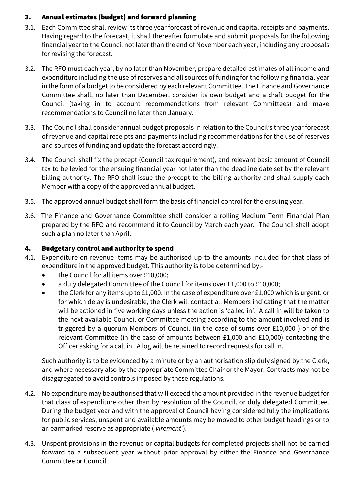# 3. Annual estimates (budget) and forward planning

- 3.1. Each Committee shall review its three year forecast of revenue and capital receipts and payments. Having regard to the forecast, it shall thereafter formulate and submit proposals for the following financial year to the Council not later than the end of November each year, including any proposals for revising the forecast.
- 3.2. The RFO must each year, by no later than November, prepare detailed estimates of all income and expenditure including the use of reserves and all sources of funding for the following financial year in the form of a budget to be considered by each relevant Committee. The Finance and Governance Committee shall, no later than December, consider its own budget and a draft budget for the Council (taking in to account recommendations from relevant Committees) and make recommendations to Council no later than January.
- 3.3. The Council shall consider annual budget proposals in relation to the Council's three year forecast of revenue and capital receipts and payments including recommendations for the use of reserves and sources of funding and update the forecast accordingly.
- 3.4. The Council shall fix the precept (Council tax requirement), and relevant basic amount of Council tax to be levied for the ensuing financial year not later than the deadline date set by the relevant billing authority. The RFO shall issue the precept to the billing authority and shall supply each Member with a copy of the approved annual budget.
- 3.5. The approved annual budget shall form the basis of financial control for the ensuing year.
- 3.6. The Finance and Governance Committee shall consider a rolling Medium Term Financial Plan prepared by the RFO and recommend it to Council by March each year. The Council shall adopt such a plan no later than April.

# 4. Budgetary control and authority to spend

- 4.1. Expenditure on revenue items may be authorised up to the amounts included for that class of expenditure in the approved budget. This authority is to be determined by:-
	- the Council for all items over £10,000;
	- a duly delegated Committee of the Council for items over £1,000 to £10,000;
	- the Clerk for any items up to £1,000. In the case of expenditure over £1,000 which is urgent, or for which delay is undesirable, the Clerk will contact all Members indicating that the matter will be actioned in five working days unless the action is 'called in'. A call in will be taken to the next available Council or Committee meeting according to the amount involved and is triggered by a quorum Members of Council (in the case of sums over £10,000 ) or of the relevant Committee (in the case of amounts between £1,000 and £10,000) contacting the Officer asking for a call in. A log will be retained to record requests for call in.

Such authority is to be evidenced by a minute or by an authorisation slip duly signed by the Clerk, and where necessary also by the appropriate Committee Chair or the Mayor. Contracts may not be disaggregated to avoid controls imposed by these regulations.

- 4.2. No expenditure may be authorised that will exceed the amount provided in the revenue budget for that class of expenditure other than by resolution of the Council, or duly delegated Committee. During the budget year and with the approval of Council having considered fully the implications for public services, unspent and available amounts may be moved to other budget headings or to an earmarked reserve as appropriate (*'virement'*).
- 4.3. Unspent provisions in the revenue or capital budgets for completed projects shall not be carried forward to a subsequent year without prior approval by either the Finance and Governance Committee or Council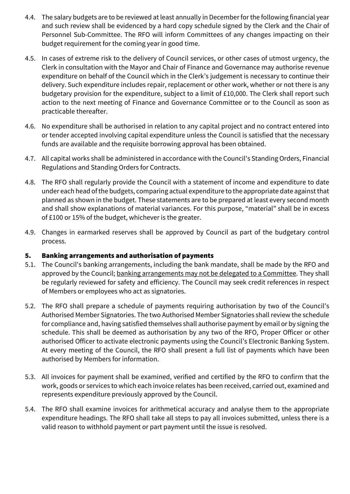- 4.4. The salary budgets are to be reviewed at least annually in Decemberfor the following financial year and such review shall be evidenced by a hard copy schedule signed by the Clerk and the Chair of Personnel Sub-Committee. The RFO will inform Committees of any changes impacting on their budget requirement for the coming year in good time.
- 4.5. In cases of extreme risk to the delivery of Council services, or other cases of utmost urgency, the Clerk in consultation with the Mayor and Chair of Finance and Governance may authorise revenue expenditure on behalf of the Council which in the Clerk's judgement is necessary to continue their delivery. Such expenditure includes repair, replacement or other work, whether or not there is any budgetary provision for the expenditure, subject to a limit of £10,000. The Clerk shall report such action to the next meeting of Finance and Governance Committee or to the Council as soon as practicable thereafter.
- 4.6. No expenditure shall be authorised in relation to any capital project and no contract entered into or tender accepted involving capital expenditure unless the Council is satisfied that the necessary funds are available and the requisite borrowing approval has been obtained.
- 4.7. All capital works shall be administered in accordance with the Council's Standing Orders, Financial Regulations and Standing Orders for Contracts.
- 4.8. The RFO shall regularly provide the Council with a statement of income and expenditure to date under each head of the budgets, comparing actual expenditure to the appropriate date against that planned as shown in the budget. These statements are to be prepared at least every second month and shall show explanations of material variances. For this purpose, "material" shall be in excess of £100 or 15% of the budget, whichever is the greater.
- 4.9. Changes in earmarked reserves shall be approved by Council as part of the budgetary control process.

## 5. Banking arrangements and authorisation of payments

- 5.1. The Council's banking arrangements, including the bank mandate, shall be made by the RFO and approved by the Council; banking arrangements may not be delegated to a Committee. They shall be regularly reviewed for safety and efficiency. The Council may seek credit references in respect of Members or employees who act as signatories.
- 5.2. The RFO shall prepare a schedule of payments requiring authorisation by two of the Council's Authorised Member Signatories. The two Authorised Member Signatories shall review the schedule for compliance and, having satisfied themselves shall authorise payment by email or by signing the schedule. This shall be deemed as authorisation by any two of the RFO, Proper Officer or other authorised Officer to activate electronic payments using the Council's Electronic Banking System. At every meeting of the Council, the RFO shall present a full list of payments which have been authorised by Members for information.
- 5.3. All invoices for payment shall be examined, verified and certified by the RFO to confirm that the work, goods or services to which each invoice relates has been received, carried out, examined and represents expenditure previously approved by the Council.
- 5.4. The RFO shall examine invoices for arithmetical accuracy and analyse them to the appropriate expenditure headings. The RFO shall take all steps to pay all invoices submitted, unless there is a valid reason to withhold payment or part payment until the issue is resolved.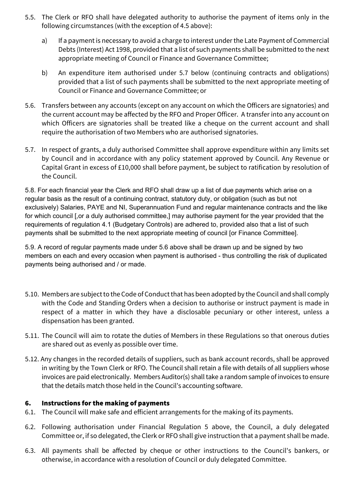- 5.5. The Clerk or RFO shall have delegated authority to authorise the payment of items only in the following circumstances (with the exception of 4.5 above):
	- a) If a payment is necessary to avoid a charge to interest under the Late Payment of Commercial Debts (Interest) Act 1998, provided that a list of such payments shall be submitted to the next appropriate meeting of Council or Finance and Governance Committee;
	- b) An expenditure item authorised under 5.7 below (continuing contracts and obligations) provided that a list of such payments shall be submitted to the next appropriate meeting of Council or Finance and Governance Committee; or
- 5.6. Transfers between any accounts (except on any account on which the Officers are signatories) and the current account may be affected by the RFO and Proper Officer. A transfer into any account on which Officers are signatories shall be treated like a cheque on the current account and shall require the authorisation of two Members who are authorised signatories.
- 5.7. In respect of grants, a duly authorised Committee shall approve expenditure within any limits set by Council and in accordance with any policy statement approved by Council. Any Revenue or Capital Grant in excess of £10,000 shall before payment, be subject to ratification by resolution of the Council.

5.8. For each financial year the Clerk and RFO shall draw up a list of due payments which arise on a regular basis as the result of a continuing contract, statutory duty, or obligation (such as but not exclusively) Salaries, PAYE and NI, Superannuation Fund and regular maintenance contracts and the like for which council [,or a duly authorised committee,] may authorise payment for the year provided that the requirements of regulation 4.1 (Budgetary Controls) are adhered to, provided also that a list of such payments shall be submitted to the next appropriate meeting of council [or Finance Committee].

5.9. A record of regular payments made under 5.6 above shall be drawn up and be signed by two members on each and every occasion when payment is authorised - thus controlling the risk of duplicated payments being authorised and / or made.

- 5.10. Members are subject to the Code of Conduct that has been adopted by the Council and shall comply with the Code and Standing Orders when a decision to authorise or instruct payment is made in respect of a matter in which they have a disclosable pecuniary or other interest, unless a dispensation has been granted.
- 5.11. The Council will aim to rotate the duties of Members in these Regulations so that onerous duties are shared out as evenly as possible over time.
- 5.12. Any changes in the recorded details of suppliers, such as bank account records, shall be approved in writing by the Town Clerk or RFO. The Council shall retain a file with details of all suppliers whose invoices are paid electronically. Members Auditor(s) shall take a random sample of invoices to ensure that the details match those held in the Council's accounting software.

#### 6. Instructions for the making of payments

- 6.1. The Council will make safe and efficient arrangements for the making of its payments.
- 6.2. Following authorisation under Financial Regulation 5 above, the Council, a duly delegated Committee or, if so delegated, the Clerk or RFO shall give instruction that a payment shall be made.
- 6.3. All payments shall be affected by cheque or other instructions to the Council's bankers, or otherwise, in accordance with a resolution of Council or duly delegated Committee.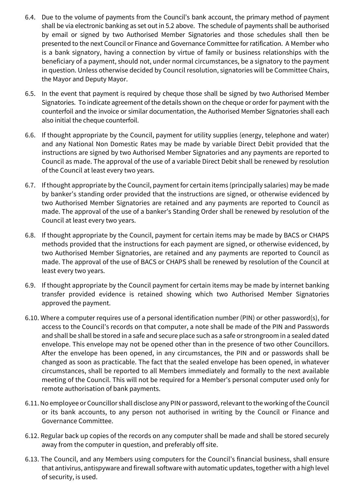- 6.4. Due to the volume of payments from the Council's bank account, the primary method of payment shall be via electronic banking as set out in 5.2 above. The schedule of payments shall be authorised by email or signed by two Authorised Member Signatories and those schedules shall then be presented to the next Council or Finance and Governance Committee for ratification. A Member who is a bank signatory, having a connection by virtue of family or business relationships with the beneficiary of a payment, should not, under normal circumstances, be a signatory to the payment in question. Unless otherwise decided by Council resolution, signatories will be Committee Chairs, the Mayor and Deputy Mayor.
- 6.5. In the event that payment is required by cheque those shall be signed by two Authorised Member Signatories. To indicate agreement of the details shown on the cheque or order for payment with the counterfoil and the invoice or similar documentation, the Authorised Member Signatories shall each also initial the cheque counterfoil.
- 6.6. If thought appropriate by the Council, payment for utility supplies (energy, telephone and water) and any National Non Domestic Rates may be made by variable Direct Debit provided that the instructions are signed by two Authorised Member Signatories and any payments are reported to Council as made. The approval of the use of a variable Direct Debit shall be renewed by resolution of the Council at least every two years.
- 6.7. If thought appropriate by the Council, payment for certain items (principally salaries) may be made by banker's standing order provided that the instructions are signed, or otherwise evidenced by two Authorised Member Signatories are retained and any payments are reported to Council as made. The approval of the use of a banker's Standing Order shall be renewed by resolution of the Council at least every two years.
- 6.8. If thought appropriate by the Council, payment for certain items may be made by BACS or CHAPS methods provided that the instructions for each payment are signed, or otherwise evidenced, by two Authorised Member Signatories, are retained and any payments are reported to Council as made. The approval of the use of BACS or CHAPS shall be renewed by resolution of the Council at least every two years.
- 6.9. If thought appropriate by the Council payment for certain items may be made by internet banking transfer provided evidence is retained showing which two Authorised Member Signatories approved the payment.
- 6.10. Where a computer requires use of a personal identification number (PIN) or other password(s), for access to the Council's records on that computer, a note shall be made of the PIN and Passwords and shall be shall be stored in a safe and secure place such as a safe or strongroom in a sealed dated envelope. This envelope may not be opened other than in the presence of two other Councillors. After the envelope has been opened, in any circumstances, the PIN and or passwords shall be changed as soon as practicable. The fact that the sealed envelope has been opened, in whatever circumstances, shall be reported to all Members immediately and formally to the next available meeting of the Council. This will not be required for a Member's personal computer used only for remote authorisation of bank payments.
- 6.11. No employee or Councillor shall disclose any PIN or password, relevant to the working of the Council or its bank accounts, to any person not authorised in writing by the Council or Finance and Governance Committee.
- 6.12. Regular back up copies of the records on any computer shall be made and shall be stored securely away from the computer in question, and preferably off site.
- 6.13. The Council, and any Members using computers for the Council's financial business, shall ensure that antivirus, antispyware and firewall software with automatic updates, together with a high level of security, is used.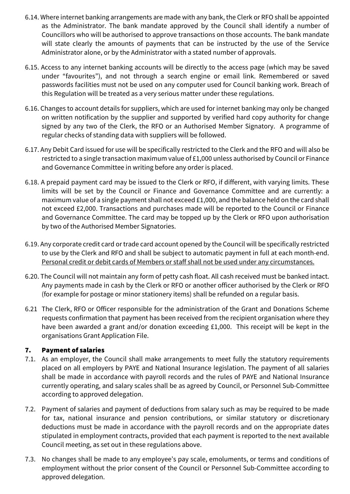- 6.14. Where internet banking arrangements are made with any bank, the Clerk or RFO shall be appointed as the Administrator. The bank mandate approved by the Council shall identify a number of Councillors who will be authorised to approve transactions on those accounts. The bank mandate will state clearly the amounts of payments that can be instructed by the use of the Service Administrator alone, or by the Administrator with a stated number of approvals.
- 6.15. Access to any internet banking accounts will be directly to the access page (which may be saved under "favourites"), and not through a search engine or email link. Remembered or saved passwords facilities must not be used on any computer used for Council banking work. Breach of this Regulation will be treated as a very serious matter under these regulations.
- 6.16. Changes to account details for suppliers, which are used for internet banking may only be changed on written notification by the supplier and supported by verified hard copy authority for change signed by any two of the Clerk, the RFO or an Authorised Member Signatory. A programme of regular checks of standing data with suppliers will be followed.
- 6.17. Any Debit Card issued for use will be specifically restricted to the Clerk and the RFO and will also be restricted to a single transaction maximum value of £1,000 unless authorised by Council or Finance and Governance Committee in writing before any order is placed.
- 6.18. A prepaid payment card may be issued to the Clerk or RFO, if different, with varying limits. These limits will be set by the Council or Finance and Governance Committee and are currently: a maximum value of a single payment shall not exceed £1,000, and the balance held on the card shall not exceed £2,000. Transactions and purchases made will be reported to the Council or Finance and Governance Committee. The card may be topped up by the Clerk or RFO upon authorisation by two of the Authorised Member Signatories.
- 6.19. Any corporate credit card or trade card account opened by the Council will be specifically restricted to use by the Clerk and RFO and shall be subject to automatic payment in full at each month-end. Personal credit or debit cards of Members or staff shall not be used under any circumstances.
- 6.20. The Council will not maintain any form of petty cash float. All cash received must be banked intact. Any payments made in cash by the Clerk or RFO or another officer authorised by the Clerk or RFO (for example for postage or minor stationery items) shall be refunded on a regular basis.
- 6.21 The Clerk, RFO or Officer responsible for the administration of the Grant and Donations Scheme requests confirmation that payment has been received from the recipient organisation where they have been awarded a grant and/or donation exceeding £1,000. This receipt will be kept in the organisations Grant Application File.

## 7. Payment of salaries

- 7.1. As an employer, the Council shall make arrangements to meet fully the statutory requirements placed on all employers by PAYE and National Insurance legislation. The payment of all salaries shall be made in accordance with payroll records and the rules of PAYE and National Insurance currently operating, and salary scales shall be as agreed by Council, or Personnel Sub-Committee according to approved delegation.
- 7.2. Payment of salaries and payment of deductions from salary such as may be required to be made for tax, national insurance and pension contributions, or similar statutory or discretionary deductions must be made in accordance with the payroll records and on the appropriate dates stipulated in employment contracts, provided that each payment is reported to the next available Council meeting, as set out in these regulations above.
- 7.3. No changes shall be made to any employee's pay scale, emoluments, or terms and conditions of employment without the prior consent of the Council or Personnel Sub-Committee according to approved delegation.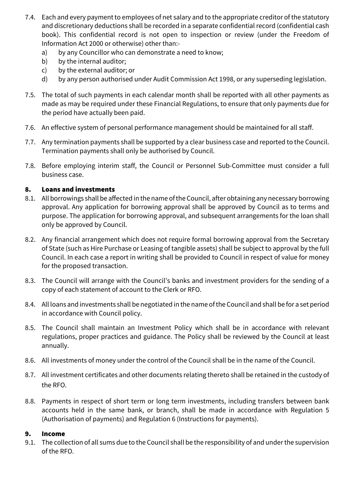- 7.4. Each and every payment to employees of net salary and to the appropriate creditor of the statutory and discretionary deductions shall be recorded in a separate confidential record (confidential cash book). This confidential record is not open to inspection or review (under the Freedom of Information Act 2000 or otherwise) other than:
	- a) by any Councillor who can demonstrate a need to know;
	- b) by the internal auditor;
	- c) by the external auditor; or
	- d) by any person authorised under Audit Commission Act 1998, or any superseding legislation.
- 7.5. The total of such payments in each calendar month shall be reported with all other payments as made as may be required under these Financial Regulations, to ensure that only payments due for the period have actually been paid.
- 7.6. An effective system of personal performance management should be maintained for all staff.
- 7.7. Any termination payments shall be supported by a clear business case and reported to the Council. Termination payments shall only be authorised by Council.
- 7.8. Before employing interim staff, the Council or Personnel Sub-Committee must consider a full business case.

# 8. Loans and investments

- 8.1. All borrowings shall be affected in the name of the Council, after obtaining any necessary borrowing approval. Any application for borrowing approval shall be approved by Council as to terms and purpose. The application for borrowing approval, and subsequent arrangements for the loan shall only be approved by Council.
- 8.2. Any financial arrangement which does not require formal borrowing approval from the Secretary of State (such as Hire Purchase or Leasing of tangible assets) shall be subject to approval by the full Council. In each case a report in writing shall be provided to Council in respect of value for money for the proposed transaction.
- 8.3. The Council will arrange with the Council's banks and investment providers for the sending of a copy of each statement of account to the Clerk or RFO.
- 8.4. All loans and investments shall be negotiated in the name of the Council and shall be for a set period in accordance with Council policy.
- 8.5. The Council shall maintain an Investment Policy which shall be in accordance with relevant regulations, proper practices and guidance. The Policy shall be reviewed by the Council at least annually.
- 8.6. All investments of money under the control of the Council shall be in the name of the Council.
- 8.7. All investment certificates and other documents relating thereto shall be retained in the custody of the RFO.
- 8.8. Payments in respect of short term or long term investments, including transfers between bank accounts held in the same bank, or branch, shall be made in accordance with Regulation 5 (Authorisation of payments) and Regulation 6 (Instructions for payments).

## 9. Income

9.1. The collection of all sums due to the Council shall be the responsibility of and under the supervision of the RFO.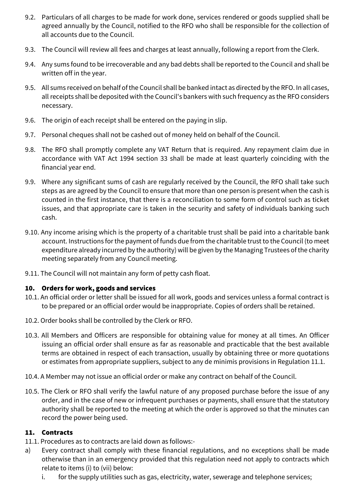- 9.2. Particulars of all charges to be made for work done, services rendered or goods supplied shall be agreed annually by the Council, notified to the RFO who shall be responsible for the collection of all accounts due to the Council.
- 9.3. The Council will review all fees and charges at least annually, following a report from the Clerk.
- 9.4. Any sums found to be irrecoverable and any bad debts shall be reported to the Council and shall be written off in the year.
- 9.5. All sums received on behalf of the Council shall be banked intact as directed by the RFO. In all cases, all receipts shall be deposited with the Council's bankers with such frequency as the RFO considers necessary.
- 9.6. The origin of each receipt shall be entered on the paying in slip.
- 9.7. Personal cheques shall not be cashed out of money held on behalf of the Council.
- 9.8. The RFO shall promptly complete any VAT Return that is required. Any repayment claim due in accordance with VAT Act 1994 section 33 shall be made at least quarterly coinciding with the financial year end.
- 9.9. Where any significant sums of cash are regularly received by the Council, the RFO shall take such steps as are agreed by the Council to ensure that more than one person is present when the cash is counted in the first instance, that there is a reconciliation to some form of control such as ticket issues, and that appropriate care is taken in the security and safety of individuals banking such cash.
- 9.10. Any income arising which is the property of a charitable trust shall be paid into a charitable bank account. Instructions for the payment of funds due from the charitable trust to the Council (to meet expenditure already incurred by the authority) will be given by the Managing Trustees of the charity meeting separately from any Council meeting.
- 9.11. The Council will not maintain any form of petty cash float.

# 10. Orders for work, goods and services

- 10.1. An official order or letter shall be issued for all work, goods and services unless a formal contract is to be prepared or an official order would be inappropriate. Copies of orders shall be retained.
- 10.2. Order books shall be controlled by the Clerk or RFO.
- 10.3. All Members and Officers are responsible for obtaining value for money at all times. An Officer issuing an official order shall ensure as far as reasonable and practicable that the best available terms are obtained in respect of each transaction, usually by obtaining three or more quotations or estimates from appropriate suppliers, subject to any de minimis provisions in Regulation 11.1.
- 10.4. A Member may not issue an official order or make any contract on behalf of the Council.
- 10.5. The Clerk or RFO shall verify the lawful nature of any proposed purchase before the issue of any order, and in the case of new or infrequent purchases or payments, shall ensure that the statutory authority shall be reported to the meeting at which the order is approved so that the minutes can record the power being used.

## 11. Contracts

- 11.1. Procedures as to contracts are laid down as follows:-
- a) Every contract shall comply with these financial regulations, and no exceptions shall be made otherwise than in an emergency provided that this regulation need not apply to contracts which relate to items (i) to (vii) below:
	- i. for the supply utilities such as gas, electricity, water, sewerage and telephone services;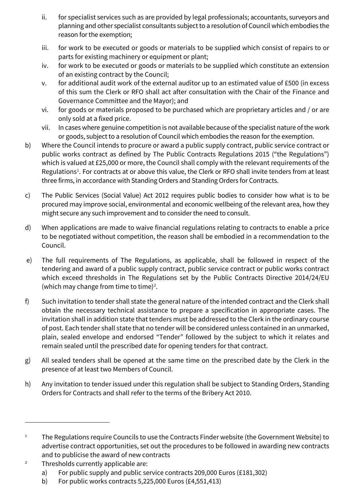- ii. for specialist services such as are provided by legal professionals; accountants, surveyors and planning and other specialist consultants subject to a resolution of Council which embodies the reason for the exemption;
- iii. for work to be executed or goods or materials to be supplied which consist of repairs to or parts for existing machinery or equipment or plant;
- iv. for work to be executed or goods or materials to be supplied which constitute an extension of an existing contract by the Council;
- v. for additional audit work of the external auditor up to an estimated value of £500 (in excess of this sum the Clerk or RFO shall act after consultation with the Chair of the Finance and Governance Committee and the Mayor); and
- vi. for goods or materials proposed to be purchased which are proprietary articles and / or are only sold at a fixed price.
- vii. In cases where genuine competition is not available because of the specialist nature of the work or goods, subject to a resolution of Council which embodies the reason for the exemption.
- b) Where the Council intends to procure or award a public supply contract, public service contract or public works contract as defined by The Public Contracts Regulations 2015 ("the Regulations") which is valued at £25,000 or more, the Council shall comply with the relevant requirements of the Regulations<sup>[1](#page-11-0)</sup>. For contracts at or above this value, the Clerk or RFO shall invite tenders from at least three firms, in accordance with Standing Orders and Standing Orders for Contracts.
- c) The Public Services (Social Value) Act 2012 requires public bodies to consider how what is to be procured may improve social, environmental and economic wellbeing of the relevant area, how they might secure any such improvement and to consider the need to consult.
- d) When applications are made to waive financial regulations relating to contracts to enable a price to be negotiated without competition, the reason shall be embodied in a recommendation to the Council.
- e) The full requirements of The Regulations, as applicable, shall be followed in respect of the tendering and award of a public supply contract, public service contract or public works contract which exceed thresholds in The Regulations set by the Public Contracts Directive 2014/24/EU (which may change from time to time)<sup>[2](#page-11-1)</sup>.
- f) Such invitation to tender shall state the general nature of the intended contract and the Clerk shall obtain the necessary technical assistance to prepare a specification in appropriate cases. The invitation shall in addition state that tenders must be addressed to the Clerk in the ordinary course of post. Each tender shall state that no tender will be considered unless contained in an unmarked, plain, sealed envelope and endorsed "Tender" followed by the subject to which it relates and remain sealed until the prescribed date for opening tenders for that contract.
- g) All sealed tenders shall be opened at the same time on the prescribed date by the Clerk in the presence of at least two Members of Council.
- h) Any invitation to tender issued under this regulation shall be subject to Standing Orders, Standing Orders for Contracts and shall refer to the terms of the Bribery Act 2010.

- <span id="page-11-1"></span><sup>2</sup> Thresholds currently applicable are:
	- a) For public supply and public service contracts 209,000 Euros (£181,302)
	- b) For public works contracts 5,225,000 Euros (£4,551,413)

<span id="page-11-0"></span><sup>&</sup>lt;sup>1</sup> The Regulations require Councils to use the Contracts Finder website (the Government Website) to advertise contract opportunities, set out the procedures to be followed in awarding new contracts and to publicise the award of new contracts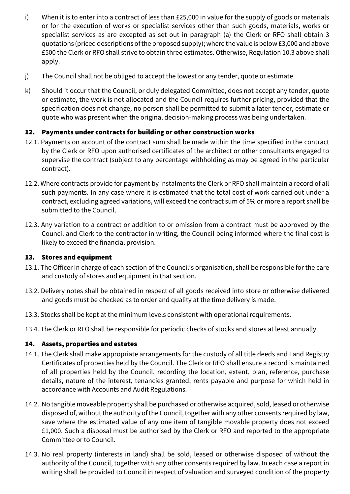- i) When it is to enter into a contract of less than £25,000 in value for the supply of goods or materials or for the execution of works or specialist services other than such goods, materials, works or specialist services as are excepted as set out in paragraph (a) the Clerk or RFO shall obtain 3 quotations (priced descriptions of the proposed supply); where the value is below £3,000 and above £500 the Clerk or RFO shall strive to obtain three estimates. Otherwise, Regulation 10.3 above shall apply.
- j) The Council shall not be obliged to accept the lowest or any tender, quote or estimate.
- k) Should it occur that the Council, or duly delegated Committee, does not accept any tender, quote or estimate, the work is not allocated and the Council requires further pricing, provided that the specification does not change, no person shall be permitted to submit a later tender, estimate or quote who was present when the original decision-making process was being undertaken.

# 12. Payments under contracts for building or other construction works

- 12.1. Payments on account of the contract sum shall be made within the time specified in the contract by the Clerk or RFO upon authorised certificates of the architect or other consultants engaged to supervise the contract (subject to any percentage withholding as may be agreed in the particular contract).
- 12.2. Where contracts provide for payment by instalments the Clerk or RFO shall maintain a record of all such payments. In any case where it is estimated that the total cost of work carried out under a contract, excluding agreed variations, will exceed the contract sum of 5% or more a report shall be submitted to the Council.
- 12.3. Any variation to a contract or addition to or omission from a contract must be approved by the Council and Clerk to the contractor in writing, the Council being informed where the final cost is likely to exceed the financial provision.

## 13. Stores and equipment

- 13.1. The Officer in charge of each section of the Council's organisation, shall be responsible for the care and custody of stores and equipment in that section.
- 13.2. Delivery notes shall be obtained in respect of all goods received into store or otherwise delivered and goods must be checked as to order and quality at the time delivery is made.
- 13.3. Stocks shall be kept at the minimum levels consistent with operational requirements.
- 13.4. The Clerk or RFO shall be responsible for periodic checks of stocks and stores at least annually.

## 14. Assets, properties and estates

- 14.1. The Clerk shall make appropriate arrangements for the custody of all title deeds and Land Registry Certificates of properties held by the Council. The Clerk or RFO shall ensure a record is maintained of all properties held by the Council, recording the location, extent, plan, reference, purchase details, nature of the interest, tenancies granted, rents payable and purpose for which held in accordance with Accounts and Audit Regulations.
- 14.2. No tangible moveable property shall be purchased or otherwise acquired, sold, leased or otherwise disposed of, without the authority of the Council, together with any other consents required by law, save where the estimated value of any one item of tangible movable property does not exceed £1,000. Such a disposal must be authorised by the Clerk or RFO and reported to the appropriate Committee or to Council.
- 14.3. No real property (interests in land) shall be sold, leased or otherwise disposed of without the authority of the Council, together with any other consents required by law. In each case a report in writing shall be provided to Council in respect of valuation and surveyed condition of the property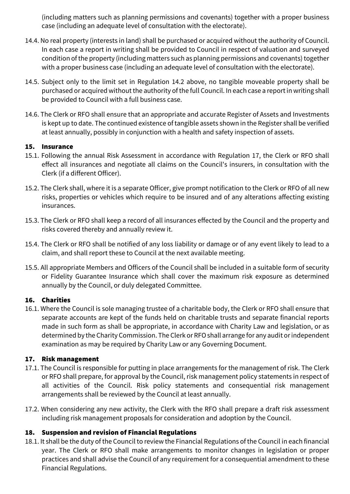(including matters such as planning permissions and covenants) together with a proper business case (including an adequate level of consultation with the electorate).

- 14.4. No real property (interests in land) shall be purchased or acquired without the authority of Council. In each case a report in writing shall be provided to Council in respect of valuation and surveyed condition of the property (including matters such as planning permissions and covenants) together with a proper business case (including an adequate level of consultation with the electorate).
- 14.5. Subject only to the limit set in Regulation 14.2 above, no tangible moveable property shall be purchased or acquired without the authority of the full Council. In each case a report in writing shall be provided to Council with a full business case.
- 14.6. The Clerk or RFO shall ensure that an appropriate and accurate Register of Assets and Investments is kept up to date. The continued existence of tangible assets shown in the Register shall be verified at least annually, possibly in conjunction with a health and safety inspection of assets.

## 15. Insurance

- 15.1. Following the annual Risk Assessment in accordance with Regulation 17, the Clerk or RFO shall effect all insurances and negotiate all claims on the Council's insurers, in consultation with the Clerk (if a different Officer).
- 15.2. The Clerk shall, where it is a separate Officer, give prompt notification to the Clerk or RFO of all new risks, properties or vehicles which require to be insured and of any alterations affecting existing insurances.
- 15.3. The Clerk or RFO shall keep a record of all insurances effected by the Council and the property and risks covered thereby and annually review it.
- 15.4. The Clerk or RFO shall be notified of any loss liability or damage or of any event likely to lead to a claim, and shall report these to Council at the next available meeting.
- 15.5. All appropriate Members and Officers of the Council shall be included in a suitable form of security or Fidelity Guarantee Insurance which shall cover the maximum risk exposure as determined annually by the Council, or duly delegated Committee.

## 16. Charities

16.1. Where the Council is sole managing trustee of a charitable body, the Clerk or RFO shall ensure that separate accounts are kept of the funds held on charitable trusts and separate financial reports made in such form as shall be appropriate, in accordance with Charity Law and legislation, or as determined by the Charity Commission. The Clerk or RFO shall arrange for any audit or independent examination as may be required by Charity Law or any Governing Document.

## 17. Risk management

- 17.1. The Council is responsible for putting in place arrangements for the management of risk. The Clerk or RFO shall prepare, for approval by the Council, risk management policy statements in respect of all activities of the Council. Risk policy statements and consequential risk management arrangements shall be reviewed by the Council at least annually.
- 17.2. When considering any new activity, the Clerk with the RFO shall prepare a draft risk assessment including risk management proposals for consideration and adoption by the Council.

## 18. Suspension and revision of Financial Regulations

18.1. It shall be the duty of the Council to review the Financial Regulations of the Council in each financial year. The Clerk or RFO shall make arrangements to monitor changes in legislation or proper practices and shall advise the Council of any requirement for a consequential amendment to these Financial Regulations.